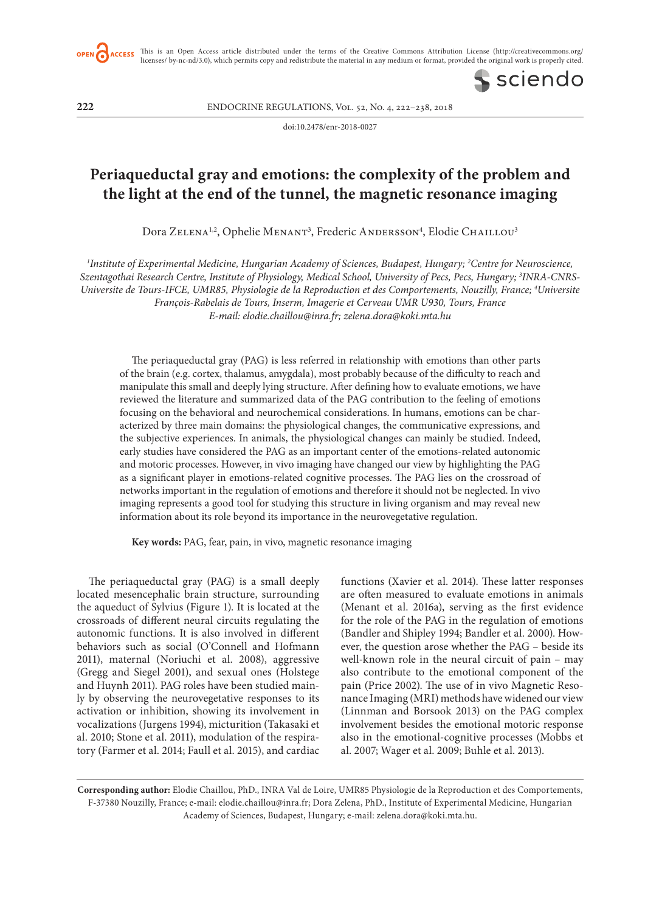

**222**

OPEN ACCESS This is an Open Access article distributed under the terms of the Creative Commons Attribution License (http://creativecommons.org/ licenses/ by-nc-nd/3.0), which permits copy and redistribute the material in any medium or format, provided the original work is properly cited.

 $S$  sciendo

ENDOCRINE REGULATIONS, Vol. 52, No. 4, 222–238, 2018

doi:10.2478/enr-2018-0027

# **Periaqueductal gray and emotions: the complexity of the problem and the light at the end of the tunnel, the magnetic resonance imaging**

Dora ZELENA<sup>1,2</sup>, Ophelie MENANT<sup>3</sup>, Frederic ANDERSSON<sup>4</sup>, Elodie CHAILLOU<sup>3</sup>

*1 Institute of Experimental Medicine, Hungarian Academy of Sciences, Budapest, Hungary; 2 Centre for Neuroscience, Szentagothai Research Centre, Institute of Physiology, Medical School, University of Pecs, Pecs, Hungary; 3 INRA-CNRS-Universite de Tours-IFCE, UMR85, Physiologie de la Reproduction et des Comportements, Nouzilly, France; 4 Universite François-Rabelais de Tours, Inserm, Imagerie et Cerveau UMR U930, Tours, France E-mail: elodie.chaillou@inra.fr; zelena.dora@koki.mta.hu*

The periaqueductal gray (PAG) is less referred in relationship with emotions than other parts of the brain (e.g. cortex, thalamus, amygdala), most probably because of the difficulty to reach and manipulate this small and deeply lying structure. After defining how to evaluate emotions, we have reviewed the literature and summarized data of the PAG contribution to the feeling of emotions focusing on the behavioral and neurochemical considerations. In humans, emotions can be characterized by three main domains: the physiological changes, the communicative expressions, and the subjective experiences. In animals, the physiological changes can mainly be studied. Indeed, early studies have considered the PAG as an important center of the emotions-related autonomic and motoric processes. However, in vivo imaging have changed our view by highlighting the PAG as a significant player in emotions-related cognitive processes. The PAG lies on the crossroad of networks important in the regulation of emotions and therefore it should not be neglected. In vivo imaging represents a good tool for studying this structure in living organism and may reveal new information about its role beyond its importance in the neurovegetative regulation.

**Key words:** PAG, fear, pain, in vivo, magnetic resonance imaging

The periaqueductal gray (PAG) is a small deeply located mesencephalic brain structure, surrounding the aqueduct of Sylvius (Figure 1). It is located at the crossroads of different neural circuits regulating the autonomic functions. It is also involved in different behaviors such as social (O'Connell and Hofmann 2011), maternal (Noriuchi et al. 2008), aggressive (Gregg and Siegel 2001), and sexual ones (Holstege and Huynh 2011). PAG roles have been studied mainly by observing the neurovegetative responses to its activation or inhibition, showing its involvement in vocalizations (Jurgens 1994), micturition (Takasaki et al. 2010; Stone et al. 2011), modulation of the respiratory (Farmer et al. 2014; Faull et al. 2015), and cardiac

functions (Xavier et al. 2014). These latter responses are often measured to evaluate emotions in animals (Menant et al. 2016a), serving as the first evidence for the role of the PAG in the regulation of emotions (Bandler and Shipley 1994; Bandler et al. 2000). However, the question arose whether the PAG – beside its well-known role in the neural circuit of pain – may also contribute to the emotional component of the pain (Price 2002). The use of in vivo Magnetic Resonance Imaging (MRI) methods have widened our view (Linnman and Borsook 2013) on the PAG complex involvement besides the emotional motoric response also in the emotional-cognitive processes (Mobbs et al. 2007; Wager et al. 2009; Buhle et al. 2013).

**Corresponding author:** Elodie Chaillou, PhD., INRA Val de Loire, UMR85 Physiologie de la Reproduction et des Comportements, F-37380 Nouzilly, France; e-mail: elodie.chaillou@inra.fr; Dora Zelena, PhD., Institute of Experimental Medicine, Hungarian Academy of Sciences, Budapest, Hungary; e-mail: zelena.dora@koki.mta.hu.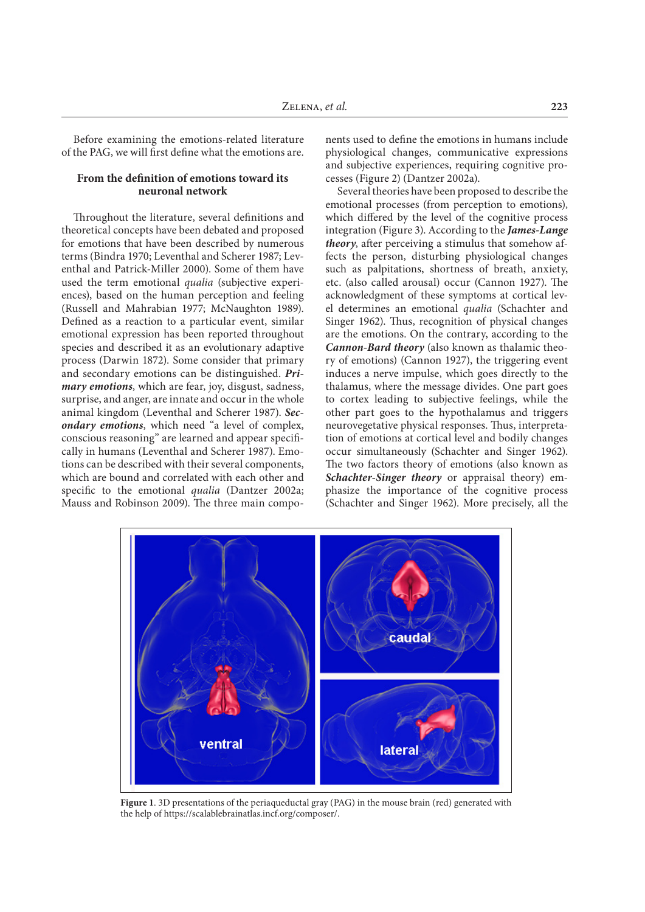Before examining the emotions-related literature of the PAG, we will first define what the emotions are.

## **From the definition of emotions toward its neuronal network**

Throughout the literature, several definitions and theoretical concepts have been debated and proposed for emotions that have been described by numerous terms (Bindra 1970; Leventhal and Scherer 1987; Leventhal and Patrick-Miller 2000). Some of them have used the term emotional *qualia* (subjective experiences), based on the human perception and feeling (Russell and Mahrabian 1977; McNaughton 1989). Defined as a reaction to a particular event, similar emotional expression has been reported throughout species and described it as an evolutionary adaptive process (Darwin 1872). Some consider that primary and secondary emotions can be distinguished. *Primary emotions*, which are fear, joy, disgust, sadness, surprise, and anger, are innate and occur in the whole animal kingdom (Leventhal and Scherer 1987). *Secondary emotions*, which need "a level of complex, conscious reasoning" are learned and appear specifically in humans (Leventhal and Scherer 1987). Emotions can be described with their several components, which are bound and correlated with each other and specific to the emotional *qualia* (Dantzer 2002a; Mauss and Robinson 2009). The three main components used to define the emotions in humans include physiological changes, communicative expressions and subjective experiences, requiring cognitive processes (Figure 2) (Dantzer 2002a).

Several theories have been proposed to describe the emotional processes (from perception to emotions), which differed by the level of the cognitive process integration (Figure 3). According to the *James-Lange theory*, after perceiving a stimulus that somehow affects the person, disturbing physiological changes such as palpitations, shortness of breath, anxiety, etc. (also called arousal) occur (Cannon 1927). The acknowledgment of these symptoms at cortical level determines an emotional *qualia* (Schachter and Singer 1962). Thus, recognition of physical changes are the emotions. On the contrary, according to the *Cannon-Bard theory* (also known as thalamic theory of emotions) (Cannon 1927), the triggering event induces a nerve impulse, which goes directly to the thalamus, where the message divides. One part goes to cortex leading to subjective feelings, while the other part goes to the hypothalamus and triggers neurovegetative physical responses. Thus, interpretation of emotions at cortical level and bodily changes occur simultaneously (Schachter and Singer 1962). The two factors theory of emotions (also known as *Schachter-Singer theory* or appraisal theory) emphasize the importance of the cognitive process (Schachter and Singer 1962). More precisely, all the



**Figure 1**. 3D presentations of the periaqueductal gray (PAG) in the mouse brain (red) generated with the help of https://scalablebrainatlas.incf.org/composer/.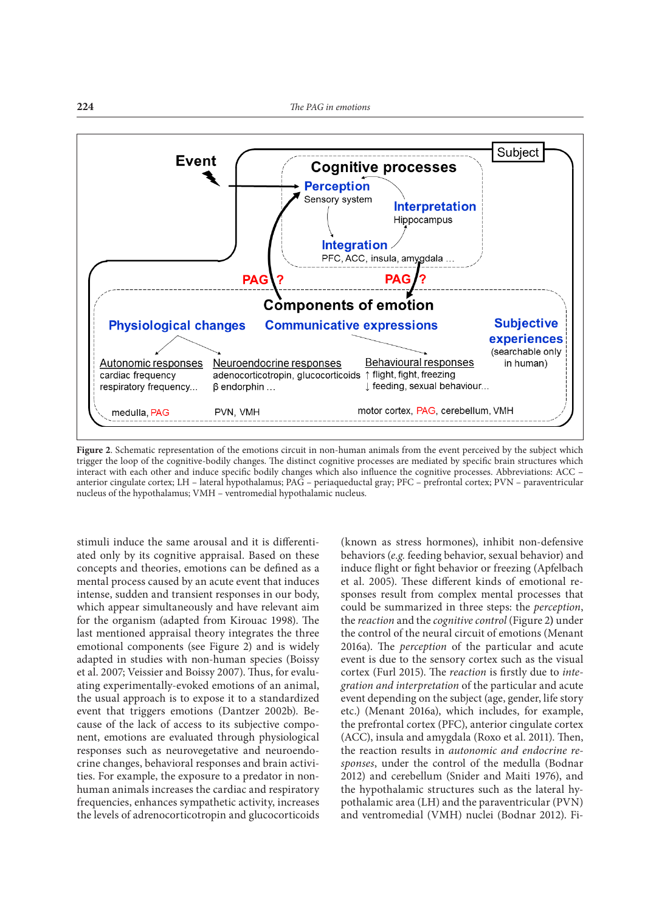

**Figure 2**. Schematic representation of the emotions circuit in non-human animals from the event perceived by the subject which trigger the loop of the cognitive-bodily changes. The distinct cognitive processes are mediated by specific brain structures which interact with each other and induce specific bodily changes which also influence the cognitive processes. Abbreviations: ACC – anterior cingulate cortex; LH – lateral hypothalamus; PAG – periaqueductal gray; PFC – prefrontal cortex; PVN – paraventricular nucleus of the hypothalamus; VMH – ventromedial hypothalamic nucleus.

stimuli induce the same arousal and it is differentiated only by its cognitive appraisal. Based on these concepts and theories, emotions can be defined as a mental process caused by an acute event that induces intense, sudden and transient responses in our body, which appear simultaneously and have relevant aim for the organism (adapted from Kirouac 1998). The last mentioned appraisal theory integrates the three emotional components (see Figure 2) and is widely adapted in studies with non-human species (Boissy et al. 2007; Veissier and Boissy 2007). Thus, for evaluating experimentally-evoked emotions of an animal, the usual approach is to expose it to a standardized event that triggers emotions (Dantzer 2002b). Because of the lack of access to its subjective component, emotions are evaluated through physiological responses such as neurovegetative and neuroendocrine changes, behavioral responses and brain activities. For example, the exposure to a predator in nonhuman animals increases the cardiac and respiratory frequencies, enhances sympathetic activity, increases the levels of adrenocorticotropin and glucocorticoids

(known as stress hormones), inhibit non-defensive behaviors (*e.g.* feeding behavior, sexual behavior) and induce flight or fight behavior or freezing (Apfelbach et al. 2005). These different kinds of emotional responses result from complex mental processes that could be summarized in three steps: the *perception*, the *reaction* and the *cognitive control* (Figure 2**)** under the control of the neural circuit of emotions (Menant 2016a). The *perception* of the particular and acute event is due to the sensory cortex such as the visual cortex (Furl 2015). The *reaction* is firstly due to *integration and interpretation* of the particular and acute event depending on the subject (age, gender, life story etc.) (Menant 2016a), which includes, for example, the prefrontal cortex (PFC), anterior cingulate cortex (ACC), insula and amygdala (Roxo et al. 2011). Then, the reaction results in *autonomic and endocrine responses*, under the control of the medulla (Bodnar 2012) and cerebellum (Snider and Maiti 1976), and the hypothalamic structures such as the lateral hypothalamic area (LH) and the paraventricular (PVN) and ventromedial (VMH) nuclei (Bodnar 2012). Fi-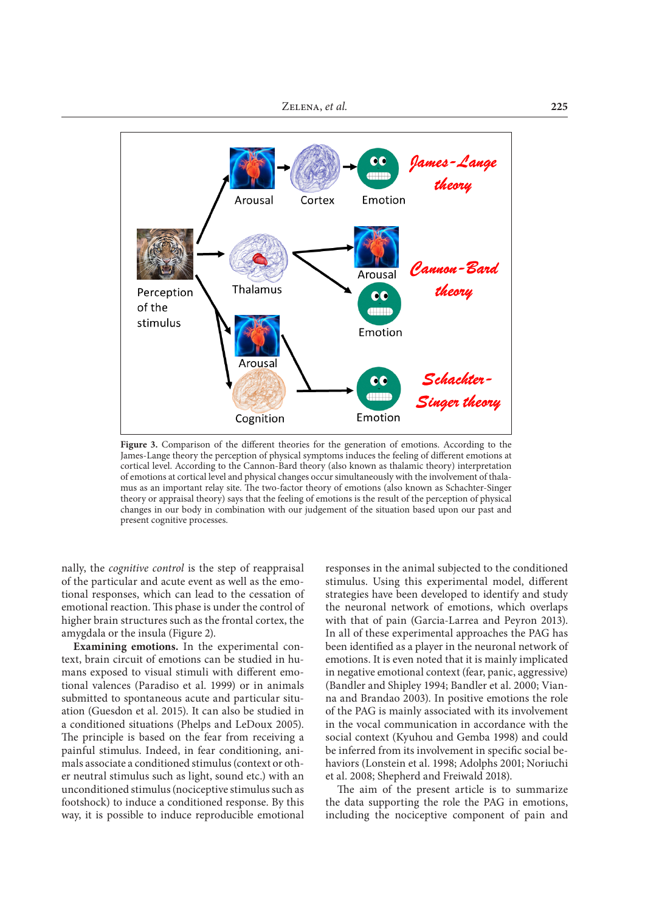

Figure 3. Comparison of the different theories for the generation of emotions. According to the James-Lange theory the perception of physical symptoms induces the feeling of different emotions at cortical level. According to the Cannon-Bard theory (also known as thalamic theory) interpretation of emotions at cortical level and physical changes occur simultaneously with the involvement of thalamus as an important relay site. The two-factor theory of emotions (also known as Schachter-Singer theory or appraisal theory) says that the feeling of emotions is the result of the perception of physical changes in our body in combination with our judgement of the situation based upon our past and present cognitive processes.

nally, the *cognitive control* is the step of reappraisal of the particular and acute event as well as the emotional responses, which can lead to the cessation of emotional reaction. This phase is under the control of higher brain structures such as the frontal cortex, the amygdala or the insula (Figure 2).

**Examining emotions.** In the experimental context, brain circuit of emotions can be studied in humans exposed to visual stimuli with different emotional valences (Paradiso et al. 1999) or in animals submitted to spontaneous acute and particular situation (Guesdon et al. 2015). It can also be studied in a conditioned situations (Phelps and LeDoux 2005). The principle is based on the fear from receiving a painful stimulus. Indeed, in fear conditioning, animals associate a conditioned stimulus (context or other neutral stimulus such as light, sound etc.) with an unconditioned stimulus (nociceptive stimulus such as footshock) to induce a conditioned response. By this way, it is possible to induce reproducible emotional

responses in the animal subjected to the conditioned stimulus. Using this experimental model, different strategies have been developed to identify and study the neuronal network of emotions, which overlaps with that of pain (Garcia-Larrea and Peyron 2013). In all of these experimental approaches the PAG has been identified as a player in the neuronal network of emotions. It is even noted that it is mainly implicated in negative emotional context (fear, panic, aggressive) (Bandler and Shipley 1994; Bandler et al. 2000; Vianna and Brandao 2003). In positive emotions the role of the PAG is mainly associated with its involvement in the vocal communication in accordance with the social context (Kyuhou and Gemba 1998) and could be inferred from its involvement in specific social behaviors (Lonstein et al. 1998; Adolphs 2001; Noriuchi et al. 2008; Shepherd and Freiwald 2018).

The aim of the present article is to summarize the data supporting the role the PAG in emotions, including the nociceptive component of pain and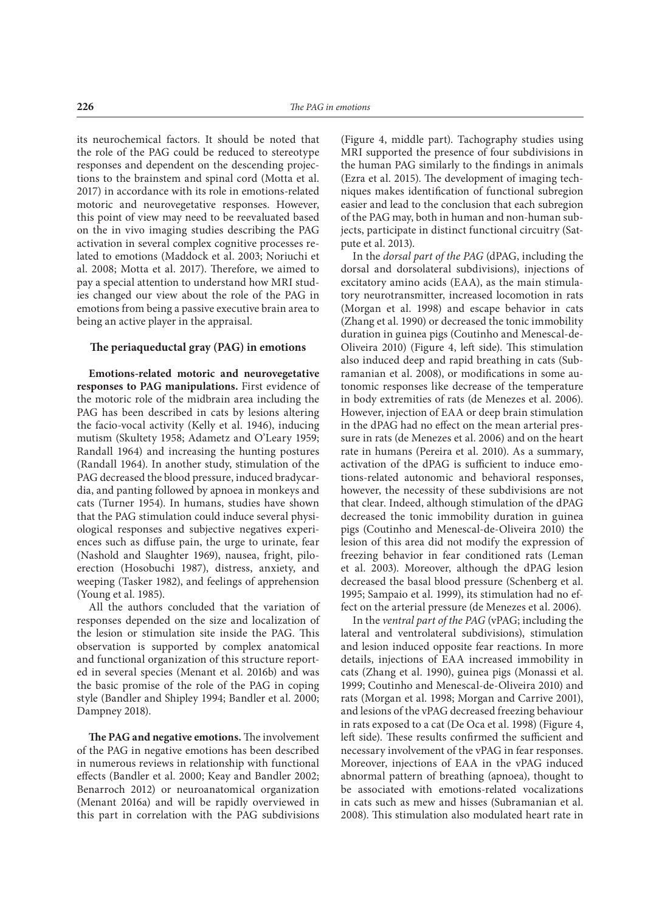its neurochemical factors. It should be noted that the role of the PAG could be reduced to stereotype responses and dependent on the descending projections to the brainstem and spinal cord (Motta et al. 2017) in accordance with its role in emotions-related motoric and neurovegetative responses. However, this point of view may need to be reevaluated based on the in vivo imaging studies describing the PAG activation in several complex cognitive processes related to emotions (Maddock et al. 2003; Noriuchi et al. 2008; Motta et al. 2017). Therefore, we aimed to pay a special attention to understand how MRI studies changed our view about the role of the PAG in emotions from being a passive executive brain area to being an active player in the appraisal.

#### **The periaqueductal gray (PAG) in emotions**

**Emotions-related motoric and neurovegetative responses to PAG manipulations.** First evidence of the motoric role of the midbrain area including the PAG has been described in cats by lesions altering the facio-vocal activity (Kelly et al. 1946), inducing mutism (Skultety 1958; Adametz and O'Leary 1959; Randall 1964) and increasing the hunting postures (Randall 1964). In another study, stimulation of the PAG decreased the blood pressure, induced bradycardia, and panting followed by apnoea in monkeys and cats (Turner 1954). In humans, studies have shown that the PAG stimulation could induce several physiological responses and subjective negatives experiences such as diffuse pain, the urge to urinate, fear (Nashold and Slaughter 1969), nausea, fright, piloerection (Hosobuchi 1987), distress, anxiety, and weeping (Tasker 1982), and feelings of apprehension (Young et al. 1985).

All the authors concluded that the variation of responses depended on the size and localization of the lesion or stimulation site inside the PAG. This observation is supported by complex anatomical and functional organization of this structure reported in several species (Menant et al. 2016b) and was the basic promise of the role of the PAG in coping style (Bandler and Shipley 1994; Bandler et al. 2000; Dampney 2018).

**The PAG and negative emotions.** The involvement of the PAG in negative emotions has been described in numerous reviews in relationship with functional effects (Bandler et al. 2000; Keay and Bandler 2002; Benarroch 2012) or neuroanatomical organization (Menant 2016a) and will be rapidly overviewed in this part in correlation with the PAG subdivisions

(Figure 4, middle part). Tachography studies using MRI supported the presence of four subdivisions in the human PAG similarly to the findings in animals (Ezra et al. 2015). The development of imaging techniques makes identification of functional subregion easier and lead to the conclusion that each subregion of the PAG may, both in human and non-human subjects, participate in distinct functional circuitry (Satpute et al. 2013).

In the *dorsal part of the PAG* (dPAG, including the dorsal and dorsolateral subdivisions), injections of excitatory amino acids (EAA), as the main stimulatory neurotransmitter, increased locomotion in rats (Morgan et al. 1998) and escape behavior in cats (Zhang et al. 1990) or decreased the tonic immobility duration in guinea pigs (Coutinho and Menescal-de-Oliveira 2010) (Figure 4, left side). This stimulation also induced deep and rapid breathing in cats (Subramanian et al. 2008), or modifications in some autonomic responses like decrease of the temperature in body extremities of rats (de Menezes et al. 2006). However, injection of EAA or deep brain stimulation in the dPAG had no effect on the mean arterial pressure in rats (de Menezes et al. 2006) and on the heart rate in humans (Pereira et al. 2010). As a summary, activation of the dPAG is sufficient to induce emotions-related autonomic and behavioral responses, however, the necessity of these subdivisions are not that clear. Indeed, although stimulation of the dPAG decreased the tonic immobility duration in guinea pigs (Coutinho and Menescal-de-Oliveira 2010) the lesion of this area did not modify the expression of freezing behavior in fear conditioned rats (Leman et al. 2003). Moreover, although the dPAG lesion decreased the basal blood pressure (Schenberg et al. 1995; Sampaio et al. 1999), its stimulation had no effect on the arterial pressure (de Menezes et al. 2006).

In the *ventral part of the PAG* (vPAG; including the lateral and ventrolateral subdivisions), stimulation and lesion induced opposite fear reactions. In more details, injections of EAA increased immobility in cats (Zhang et al. 1990), guinea pigs (Monassi et al. 1999; Coutinho and Menescal-de-Oliveira 2010) and rats (Morgan et al. 1998; Morgan and Carrive 2001), and lesions of the vPAG decreased freezing behaviour in rats exposed to a cat (De Oca et al. 1998) (Figure 4, left side). These results confirmed the sufficient and necessary involvement of the vPAG in fear responses. Moreover, injections of EAA in the vPAG induced abnormal pattern of breathing (apnoea), thought to be associated with emotions-related vocalizations in cats such as mew and hisses (Subramanian et al. 2008). This stimulation also modulated heart rate in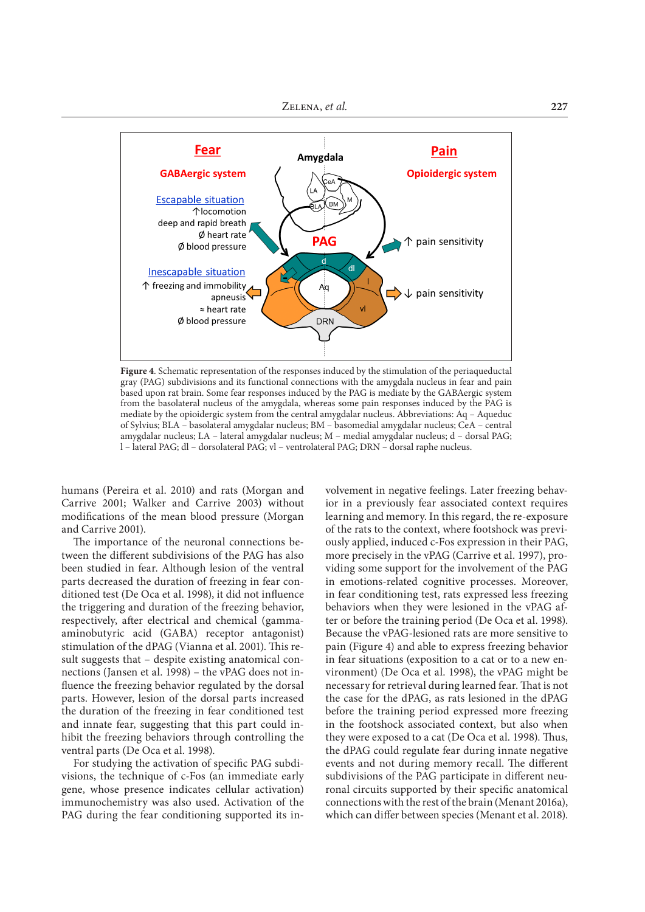

**Figure 4**. Schematic representation of the responses induced by the stimulation of the periaqueductal gray (PAG) subdivisions and its functional connections with the amygdala nucleus in fear and pain based upon rat brain. Some fear responses induced by the PAG is mediate by the GABAergic system from the basolateral nucleus of the amygdala, whereas some pain responses induced by the PAG is mediate by the opioidergic system from the central amygdalar nucleus. Abbreviations: Aq – Aqueduc of Sylvius; BLA – basolateral amygdalar nucleus; BM – basomedial amygdalar nucleus; CeA – central amygdalar nucleus; LA – lateral amygdalar nucleus; M – medial amygdalar nucleus; d – dorsal PAG; l – lateral PAG; dl – dorsolateral PAG; vl – ventrolateral PAG; DRN – dorsal raphe nucleus.

humans (Pereira et al. 2010) and rats (Morgan and Carrive 2001; Walker and Carrive 2003) without modifications of the mean blood pressure (Morgan and Carrive 2001).

The importance of the neuronal connections between the different subdivisions of the PAG has also been studied in fear. Although lesion of the ventral parts decreased the duration of freezing in fear conditioned test (De Oca et al. 1998), it did not influence the triggering and duration of the freezing behavior, respectively, after electrical and chemical (gammaaminobutyric acid (GABA) receptor antagonist) stimulation of the dPAG (Vianna et al. 2001). This result suggests that – despite existing anatomical connections (Jansen et al. 1998) – the vPAG does not influence the freezing behavior regulated by the dorsal parts. However, lesion of the dorsal parts increased the duration of the freezing in fear conditioned test and innate fear, suggesting that this part could inhibit the freezing behaviors through controlling the ventral parts (De Oca et al. 1998).

For studying the activation of specific PAG subdivisions, the technique of c-Fos (an immediate early gene, whose presence indicates cellular activation) immunochemistry was also used. Activation of the PAG during the fear conditioning supported its in-

volvement in negative feelings. Later freezing behavior in a previously fear associated context requires learning and memory. In this regard, the re-exposure of the rats to the context, where footshock was previously applied, induced c-Fos expression in their PAG, more precisely in the vPAG (Carrive et al. 1997), providing some support for the involvement of the PAG in emotions-related cognitive processes. Moreover, in fear conditioning test, rats expressed less freezing behaviors when they were lesioned in the vPAG after or before the training period (De Oca et al. 1998). Because the vPAG-lesioned rats are more sensitive to pain (Figure 4) and able to express freezing behavior in fear situations (exposition to a cat or to a new environment) (De Oca et al. 1998), the vPAG might be necessary for retrieval during learned fear. That is not the case for the dPAG, as rats lesioned in the dPAG before the training period expressed more freezing in the footshock associated context, but also when they were exposed to a cat (De Oca et al. 1998). Thus, the dPAG could regulate fear during innate negative events and not during memory recall. The different subdivisions of the PAG participate in different neuronal circuits supported by their specific anatomical connections with the rest of the brain (Menant 2016a), which can differ between species (Menant et al. 2018).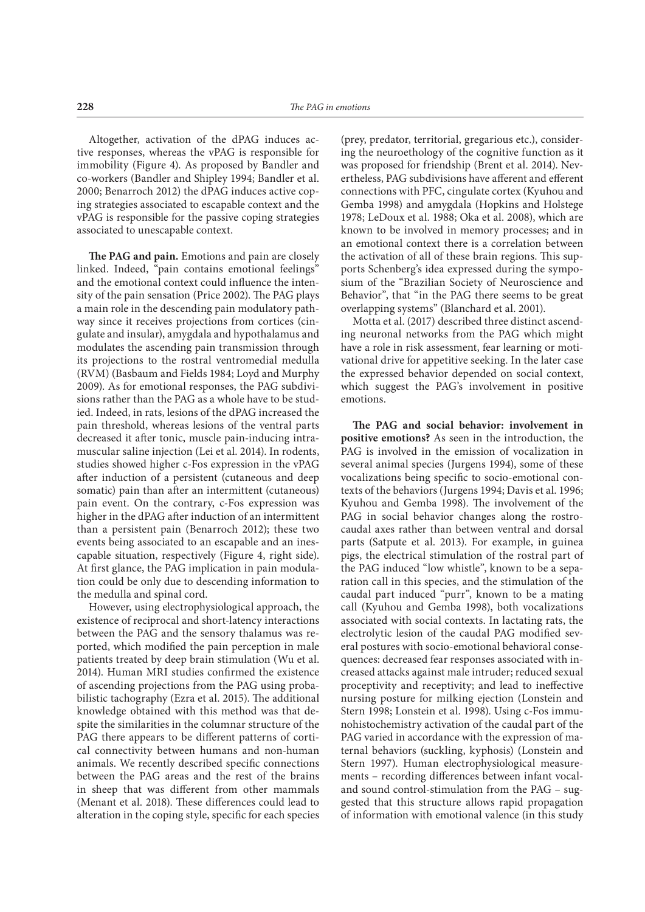Altogether, activation of the dPAG induces active responses, whereas the vPAG is responsible for immobility (Figure 4). As proposed by Bandler and co-workers (Bandler and Shipley 1994; Bandler et al. 2000; Benarroch 2012) the dPAG induces active coping strategies associated to escapable context and the vPAG is responsible for the passive coping strategies associated to unescapable context.

**The PAG and pain.** Emotions and pain are closely linked. Indeed, "pain contains emotional feelings" and the emotional context could influence the intensity of the pain sensation (Price 2002). The PAG plays a main role in the descending pain modulatory pathway since it receives projections from cortices (cingulate and insular), amygdala and hypothalamus and modulates the ascending pain transmission through its projections to the rostral ventromedial medulla (RVM) (Basbaum and Fields 1984; Loyd and Murphy 2009). As for emotional responses, the PAG subdivisions rather than the PAG as a whole have to be studied. Indeed, in rats, lesions of the dPAG increased the pain threshold, whereas lesions of the ventral parts decreased it after tonic, muscle pain-inducing intramuscular saline injection (Lei et al. 2014). In rodents, studies showed higher c-Fos expression in the vPAG after induction of a persistent (cutaneous and deep somatic) pain than after an intermittent (cutaneous) pain event. On the contrary, c-Fos expression was higher in the dPAG after induction of an intermittent than a persistent pain (Benarroch 2012); these two events being associated to an escapable and an inescapable situation, respectively (Figure 4, right side). At first glance, the PAG implication in pain modulation could be only due to descending information to the medulla and spinal cord.

However, using electrophysiological approach, the existence of reciprocal and short-latency interactions between the PAG and the sensory thalamus was reported, which modified the pain perception in male patients treated by deep brain stimulation (Wu et al. 2014). Human MRI studies confirmed the existence of ascending projections from the PAG using probabilistic tachography (Ezra et al. 2015). The additional knowledge obtained with this method was that despite the similarities in the columnar structure of the PAG there appears to be different patterns of cortical connectivity between humans and non-human animals. We recently described specific connections between the PAG areas and the rest of the brains in sheep that was different from other mammals (Menant et al. 2018). These differences could lead to alteration in the coping style, specific for each species

(prey, predator, territorial, gregarious etc.), considering the neuroethology of the cognitive function as it was proposed for friendship (Brent et al. 2014). Nevertheless, PAG subdivisions have afferent and efferent connections with PFC, cingulate cortex (Kyuhou and Gemba 1998) and amygdala (Hopkins and Holstege 1978; LeDoux et al. 1988; Oka et al. 2008), which are known to be involved in memory processes; and in an emotional context there is a correlation between the activation of all of these brain regions. This supports Schenberg's idea expressed during the symposium of the "Brazilian Society of Neuroscience and Behavior", that "in the PAG there seems to be great overlapping systems" (Blanchard et al. 2001).

Motta et al. (2017) described three distinct ascending neuronal networks from the PAG which might have a role in risk assessment, fear learning or motivational drive for appetitive seeking. In the later case the expressed behavior depended on social context, which suggest the PAG's involvement in positive emotions.

**The PAG and social behavior: involvement in positive emotions?** As seen in the introduction, the PAG is involved in the emission of vocalization in several animal species (Jurgens 1994), some of these vocalizations being specific to socio-emotional contexts of the behaviors (Jurgens 1994; Davis et al. 1996; Kyuhou and Gemba 1998). The involvement of the PAG in social behavior changes along the rostrocaudal axes rather than between ventral and dorsal parts (Satpute et al. 2013). For example, in guinea pigs, the electrical stimulation of the rostral part of the PAG induced "low whistle", known to be a separation call in this species, and the stimulation of the caudal part induced "purr", known to be a mating call (Kyuhou and Gemba 1998), both vocalizations associated with social contexts. In lactating rats, the electrolytic lesion of the caudal PAG modified several postures with socio-emotional behavioral consequences: decreased fear responses associated with increased attacks against male intruder; reduced sexual proceptivity and receptivity; and lead to ineffective nursing posture for milking ejection (Lonstein and Stern 1998; Lonstein et al. 1998). Using c-Fos immunohistochemistry activation of the caudal part of the PAG varied in accordance with the expression of maternal behaviors (suckling, kyphosis) (Lonstein and Stern 1997). Human electrophysiological measurements – recording differences between infant vocaland sound control-stimulation from the PAG – suggested that this structure allows rapid propagation of information with emotional valence (in this study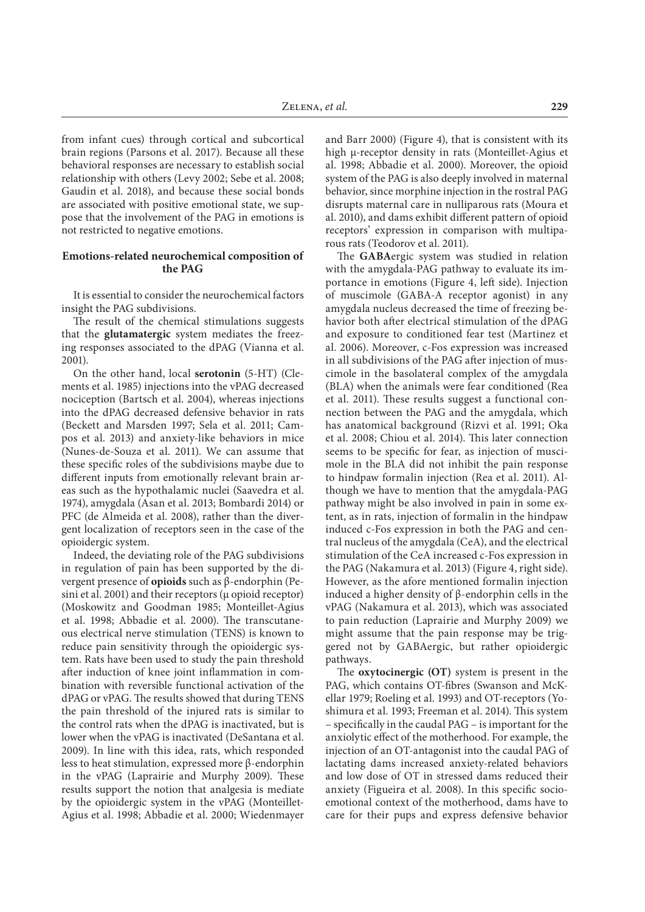from infant cues) through cortical and subcortical brain regions (Parsons et al. 2017). Because all these behavioral responses are necessary to establish social relationship with others (Levy 2002; Sebe et al. 2008; Gaudin et al. 2018), and because these social bonds are associated with positive emotional state, we suppose that the involvement of the PAG in emotions is not restricted to negative emotions.

## **Emotions-related neurochemical composition of the PAG**

It is essential to consider the neurochemical factors insight the PAG subdivisions.

The result of the chemical stimulations suggests that the **glutamatergic** system mediates the freezing responses associated to the dPAG (Vianna et al. 2001).

On the other hand, local **serotonin** (5-HT) (Clements et al. 1985) injections into the vPAG decreased nociception (Bartsch et al. 2004), whereas injections into the dPAG decreased defensive behavior in rats (Beckett and Marsden 1997; Sela et al. 2011; Campos et al. 2013) and anxiety-like behaviors in mice (Nunes-de-Souza et al. 2011). We can assume that these specific roles of the subdivisions maybe due to different inputs from emotionally relevant brain areas such as the hypothalamic nuclei (Saavedra et al. 1974), amygdala (Asan et al. 2013; Bombardi 2014) or PFC (de Almeida et al. 2008), rather than the divergent localization of receptors seen in the case of the opioidergic system.

Indeed, the deviating role of the PAG subdivisions in regulation of pain has been supported by the divergent presence of **opioids** such as β-endorphin (Pesini et al. 2001) and their receptors  $(\mu$  opioid receptor) (Moskowitz and Goodman 1985; Monteillet-Agius et al. 1998; Abbadie et al. 2000). The transcutaneous electrical nerve stimulation (TENS) is known to reduce pain sensitivity through the opioidergic system. Rats have been used to study the pain threshold after induction of knee joint inflammation in combination with reversible functional activation of the dPAG or vPAG. The results showed that during TENS the pain threshold of the injured rats is similar to the control rats when the dPAG is inactivated, but is lower when the vPAG is inactivated (DeSantana et al. 2009). In line with this idea, rats, which responded less to heat stimulation, expressed more β-endorphin in the vPAG (Laprairie and Murphy 2009). These results support the notion that analgesia is mediate by the opioidergic system in the vPAG (Monteillet-Agius et al. 1998; Abbadie et al. 2000; Wiedenmayer

and Barr 2000) (Figure 4), that is consistent with its high µ-receptor density in rats (Monteillet-Agius et al. 1998; Abbadie et al. 2000). Moreover, the opioid system of the PAG is also deeply involved in maternal behavior, since morphine injection in the rostral PAG disrupts maternal care in nulliparous rats (Moura et al. 2010), and dams exhibit different pattern of opioid receptors' expression in comparison with multiparous rats (Teodorov et al. 2011).

The **GABA**ergic system was studied in relation with the amygdala-PAG pathway to evaluate its importance in emotions (Figure 4, left side). Injection of muscimole (GABA-A receptor agonist) in any amygdala nucleus decreased the time of freezing behavior both after electrical stimulation of the dPAG and exposure to conditioned fear test (Martinez et al. 2006). Moreover, c-Fos expression was increased in all subdivisions of the PAG after injection of muscimole in the basolateral complex of the amygdala (BLA) when the animals were fear conditioned (Rea et al. 2011). These results suggest a functional connection between the PAG and the amygdala, which has anatomical background (Rizvi et al. 1991; Oka et al. 2008; Chiou et al. 2014). This later connection seems to be specific for fear, as injection of muscimole in the BLA did not inhibit the pain response to hindpaw formalin injection (Rea et al. 2011). Although we have to mention that the amygdala-PAG pathway might be also involved in pain in some extent, as in rats, injection of formalin in the hindpaw induced c-Fos expression in both the PAG and central nucleus of the amygdala (CeA), and the electrical stimulation of the CeA increased c-Fos expression in the PAG (Nakamura et al. 2013) (Figure 4, right side). However, as the afore mentioned formalin injection induced a higher density of β-endorphin cells in the vPAG (Nakamura et al. 2013), which was associated to pain reduction (Laprairie and Murphy 2009) we might assume that the pain response may be triggered not by GABAergic, but rather opioidergic pathways.

The **oxytocinergic (OT)** system is present in the PAG, which contains OT-fibres (Swanson and McKellar 1979; Roeling et al. 1993) and OT-receptors (Yoshimura et al. 1993; Freeman et al. 2014). This system – specifically in the caudal PAG – is important for the anxiolytic effect of the motherhood. For example, the injection of an OT-antagonist into the caudal PAG of lactating dams increased anxiety-related behaviors and low dose of OT in stressed dams reduced their anxiety (Figueira et al. 2008). In this specific socioemotional context of the motherhood, dams have to care for their pups and express defensive behavior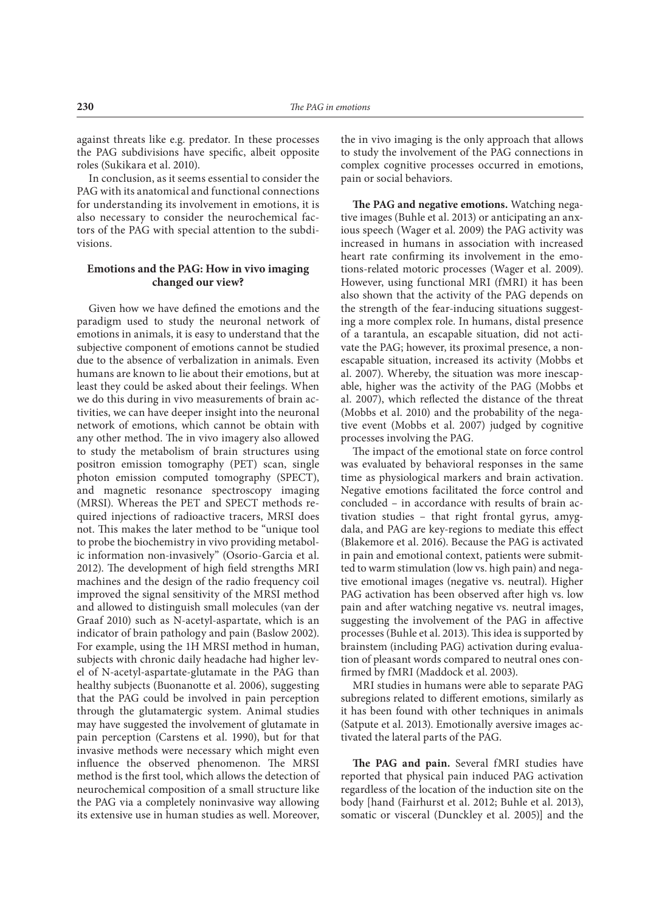against threats like e.g. predator. In these processes the PAG subdivisions have specific, albeit opposite roles (Sukikara et al. 2010).

In conclusion, as it seems essential to consider the PAG with its anatomical and functional connections for understanding its involvement in emotions, it is also necessary to consider the neurochemical factors of the PAG with special attention to the subdivisions.

## **Emotions and the PAG: How in vivo imaging changed our view?**

Given how we have defined the emotions and the paradigm used to study the neuronal network of emotions in animals, it is easy to understand that the subjective component of emotions cannot be studied due to the absence of verbalization in animals. Even humans are known to lie about their emotions, but at least they could be asked about their feelings. When we do this during in vivo measurements of brain activities, we can have deeper insight into the neuronal network of emotions, which cannot be obtain with any other method. The in vivo imagery also allowed to study the metabolism of brain structures using positron emission tomography (PET) scan, single photon emission computed tomography (SPECT), and magnetic resonance spectroscopy imaging (MRSI). Whereas the PET and SPECT methods required injections of radioactive tracers, MRSI does not. This makes the later method to be "unique tool to probe the biochemistry in vivo providing metabolic information non-invasively" (Osorio-Garcia et al. 2012). The development of high field strengths MRI machines and the design of the radio frequency coil improved the signal sensitivity of the MRSI method and allowed to distinguish small molecules (van der Graaf 2010) such as N-acetyl-aspartate, which is an indicator of brain pathology and pain (Baslow 2002). For example, using the 1H MRSI method in human, subjects with chronic daily headache had higher level of N-acetyl-aspartate-glutamate in the PAG than healthy subjects (Buonanotte et al. 2006), suggesting that the PAG could be involved in pain perception through the glutamatergic system. Animal studies may have suggested the involvement of glutamate in pain perception (Carstens et al. 1990), but for that invasive methods were necessary which might even influence the observed phenomenon. The MRSI method is the first tool, which allows the detection of neurochemical composition of a small structure like the PAG via a completely noninvasive way allowing its extensive use in human studies as well. Moreover,

the in vivo imaging is the only approach that allows to study the involvement of the PAG connections in complex cognitive processes occurred in emotions, pain or social behaviors.

**The PAG and negative emotions.** Watching negative images (Buhle et al. 2013) or anticipating an anxious speech (Wager et al. 2009) the PAG activity was increased in humans in association with increased heart rate confirming its involvement in the emotions-related motoric processes (Wager et al. 2009). However, using functional MRI (fMRI) it has been also shown that the activity of the PAG depends on the strength of the fear-inducing situations suggesting a more complex role. In humans, distal presence of a tarantula, an escapable situation, did not activate the PAG; however, its proximal presence, a nonescapable situation, increased its activity (Mobbs et al. 2007). Whereby, the situation was more inescapable, higher was the activity of the PAG (Mobbs et al. 2007), which reflected the distance of the threat (Mobbs et al. 2010) and the probability of the negative event (Mobbs et al. 2007) judged by cognitive processes involving the PAG.

The impact of the emotional state on force control was evaluated by behavioral responses in the same time as physiological markers and brain activation. Negative emotions facilitated the force control and concluded – in accordance with results of brain activation studies – that right frontal gyrus, amygdala, and PAG are key-regions to mediate this effect (Blakemore et al. 2016). Because the PAG is activated in pain and emotional context, patients were submitted to warm stimulation (low vs. high pain) and negative emotional images (negative vs. neutral). Higher PAG activation has been observed after high vs. low pain and after watching negative vs. neutral images, suggesting the involvement of the PAG in affective processes (Buhle et al. 2013). This idea is supported by brainstem (including PAG) activation during evaluation of pleasant words compared to neutral ones confirmed by fMRI (Maddock et al. 2003).

MRI studies in humans were able to separate PAG subregions related to different emotions, similarly as it has been found with other techniques in animals (Satpute et al. 2013). Emotionally aversive images activated the lateral parts of the PAG.

**The PAG and pain.** Several fMRI studies have reported that physical pain induced PAG activation regardless of the location of the induction site on the body [hand (Fairhurst et al. 2012; Buhle et al. 2013), somatic or visceral (Dunckley et al. 2005)] and the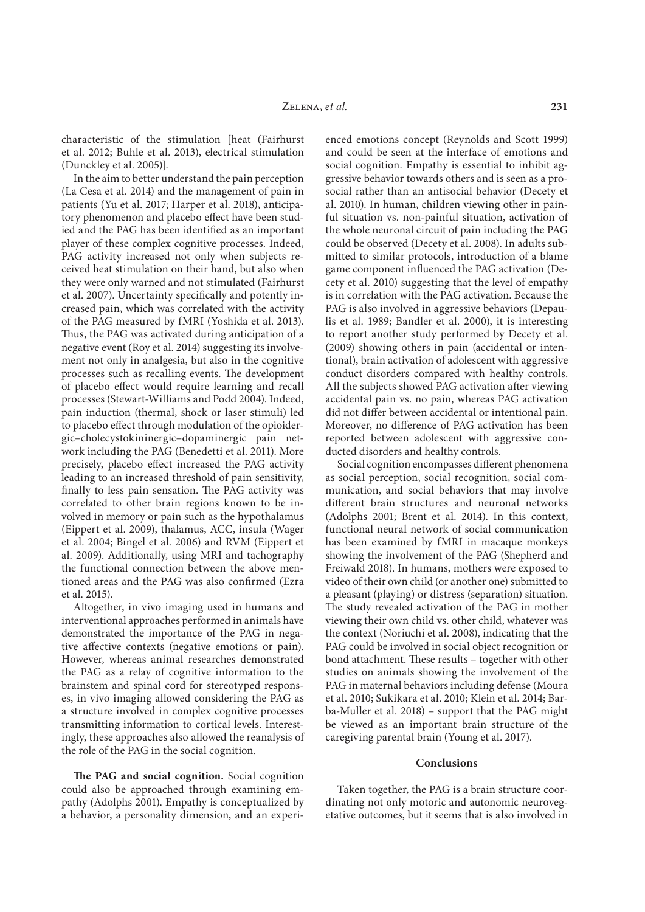characteristic of the stimulation [heat (Fairhurst et al. 2012; Buhle et al. 2013), electrical stimulation (Dunckley et al. 2005)].

In the aim to better understand the pain perception (La Cesa et al. 2014) and the management of pain in patients (Yu et al. 2017; Harper et al. 2018), anticipatory phenomenon and placebo effect have been studied and the PAG has been identified as an important player of these complex cognitive processes. Indeed, PAG activity increased not only when subjects received heat stimulation on their hand, but also when they were only warned and not stimulated (Fairhurst et al. 2007). Uncertainty specifically and potently increased pain, which was correlated with the activity of the PAG measured by fMRI (Yoshida et al. 2013). Thus, the PAG was activated during anticipation of a negative event (Roy et al. 2014) suggesting its involvement not only in analgesia, but also in the cognitive processes such as recalling events. The development of placebo effect would require learning and recall processes (Stewart-Williams and Podd 2004). Indeed, pain induction (thermal, shock or laser stimuli) led to placebo effect through modulation of the opioidergic–cholecystokininergic–dopaminergic pain network including the PAG (Benedetti et al. 2011). More precisely, placebo effect increased the PAG activity leading to an increased threshold of pain sensitivity, finally to less pain sensation. The PAG activity was correlated to other brain regions known to be involved in memory or pain such as the hypothalamus (Eippert et al. 2009), thalamus, ACC, insula (Wager et al. 2004; Bingel et al. 2006) and RVM (Eippert et al. 2009). Additionally, using MRI and tachography the functional connection between the above mentioned areas and the PAG was also confirmed (Ezra et al. 2015).

Altogether, in vivo imaging used in humans and interventional approaches performed in animals have demonstrated the importance of the PAG in negative affective contexts (negative emotions or pain). However, whereas animal researches demonstrated the PAG as a relay of cognitive information to the brainstem and spinal cord for stereotyped responses, in vivo imaging allowed considering the PAG as a structure involved in complex cognitive processes transmitting information to cortical levels. Interestingly, these approaches also allowed the reanalysis of the role of the PAG in the social cognition.

**The PAG and social cognition.** Social cognition could also be approached through examining empathy (Adolphs 2001). Empathy is conceptualized by a behavior, a personality dimension, and an experi-

enced emotions concept (Reynolds and Scott 1999) and could be seen at the interface of emotions and social cognition. Empathy is essential to inhibit aggressive behavior towards others and is seen as a prosocial rather than an antisocial behavior (Decety et al. 2010). In human, children viewing other in painful situation vs. non-painful situation, activation of the whole neuronal circuit of pain including the PAG could be observed (Decety et al. 2008). In adults submitted to similar protocols, introduction of a blame game component influenced the PAG activation (Decety et al. 2010) suggesting that the level of empathy is in correlation with the PAG activation. Because the PAG is also involved in aggressive behaviors (Depaulis et al. 1989; Bandler et al. 2000), it is interesting to report another study performed by Decety et al. (2009) showing others in pain (accidental or intentional), brain activation of adolescent with aggressive conduct disorders compared with healthy controls. All the subjects showed PAG activation after viewing accidental pain vs. no pain, whereas PAG activation did not differ between accidental or intentional pain. Moreover, no difference of PAG activation has been reported between adolescent with aggressive conducted disorders and healthy controls.

Social cognition encompasses different phenomena as social perception, social recognition, social communication, and social behaviors that may involve different brain structures and neuronal networks (Adolphs 2001; Brent et al. 2014). In this context, functional neural network of social communication has been examined by fMRI in macaque monkeys showing the involvement of the PAG (Shepherd and Freiwald 2018). In humans, mothers were exposed to video of their own child (or another one) submitted to a pleasant (playing) or distress (separation) situation. The study revealed activation of the PAG in mother viewing their own child vs. other child, whatever was the context (Noriuchi et al. 2008), indicating that the PAG could be involved in social object recognition or bond attachment. These results – together with other studies on animals showing the involvement of the PAG in maternal behaviors including defense (Moura et al. 2010; Sukikara et al. 2010; Klein et al. 2014; Barba-Muller et al. 2018) – support that the PAG might be viewed as an important brain structure of the caregiving parental brain (Young et al. 2017).

#### **Conclusions**

Taken together, the PAG is a brain structure coordinating not only motoric and autonomic neurovegetative outcomes, but it seems that is also involved in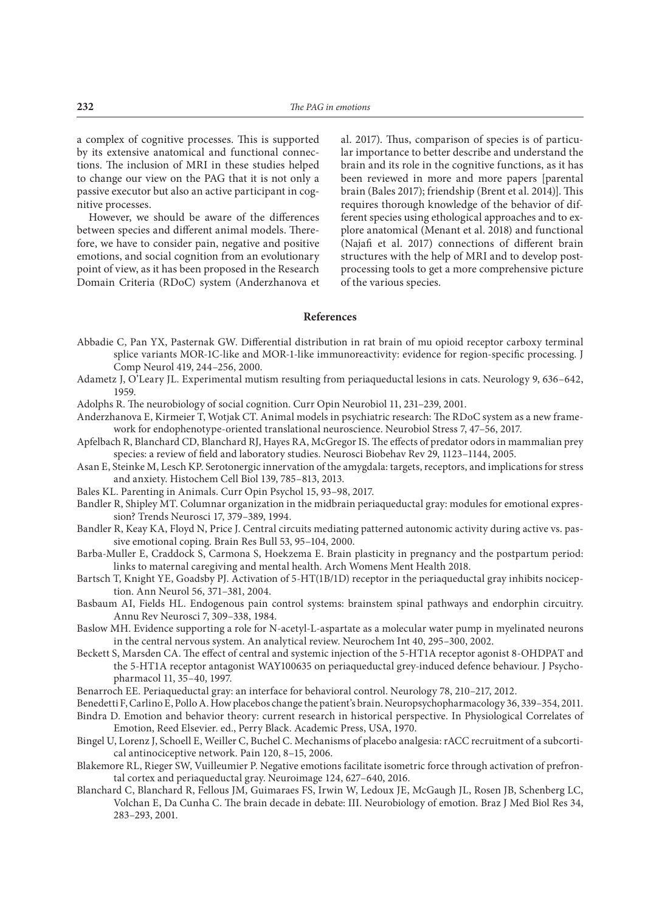a complex of cognitive processes. This is supported by its extensive anatomical and functional connections. The inclusion of MRI in these studies helped to change our view on the PAG that it is not only a passive executor but also an active participant in cognitive processes.

However, we should be aware of the differences between species and different animal models. Therefore, we have to consider pain, negative and positive emotions, and social cognition from an evolutionary point of view, as it has been proposed in the Research Domain Criteria (RDoC) system (Anderzhanova et

al. 2017). Thus, comparison of species is of particular importance to better describe and understand the brain and its role in the cognitive functions, as it has been reviewed in more and more papers [parental brain (Bales 2017); friendship (Brent et al. 2014)]. This requires thorough knowledge of the behavior of different species using ethological approaches and to explore anatomical (Menant et al. 2018) and functional (Najafi et al. 2017) connections of different brain structures with the help of MRI and to develop postprocessing tools to get a more comprehensive picture of the various species.

#### **References**

- Abbadie C, Pan YX, Pasternak GW. Differential distribution in rat brain of mu opioid receptor carboxy terminal splice variants MOR-1C-like and MOR-1-like immunoreactivity: evidence for region-specific processing. J Comp Neurol 419, 244–256, 2000.
- Adametz J, O'Leary JL. Experimental mutism resulting from periaqueductal lesions in cats. Neurology 9, 636–642, 1959.
- Adolphs R. The neurobiology of social cognition. Curr Opin Neurobiol 11, 231–239, 2001.
- Anderzhanova E, Kirmeier T, Wotjak CT. Animal models in psychiatric research: The RDoC system as a new framework for endophenotype-oriented translational neuroscience. Neurobiol Stress 7, 47–56, 2017.
- Apfelbach R, Blanchard CD, Blanchard RJ, Hayes RA, McGregor IS. The effects of predator odors in mammalian prey species: a review of field and laboratory studies. Neurosci Biobehav Rev 29, 1123–1144, 2005.
- Asan E, Steinke M, Lesch KP. Serotonergic innervation of the amygdala: targets, receptors, and implications for stress and anxiety. Histochem Cell Biol 139, 785–813, 2013.
- Bales KL. Parenting in Animals. Curr Opin Psychol 15, 93–98, 2017.
- Bandler R, Shipley MT. Columnar organization in the midbrain periaqueductal gray: modules for emotional expression? Trends Neurosci 17, 379–389, 1994.
- Bandler R, Keay KA, Floyd N, Price J. Central circuits mediating patterned autonomic activity during active vs. passive emotional coping. Brain Res Bull 53, 95–104, 2000.
- Barba-Muller E, Craddock S, Carmona S, Hoekzema E. Brain plasticity in pregnancy and the postpartum period: links to maternal caregiving and mental health. Arch Womens Ment Health 2018.
- Bartsch T, Knight YE, Goadsby PJ. Activation of 5-HT(1B/1D) receptor in the periaqueductal gray inhibits nociception. Ann Neurol 56, 371–381, 2004.
- Basbaum AI, Fields HL. Endogenous pain control systems: brainstem spinal pathways and endorphin circuitry. Annu Rev Neurosci 7, 309–338, 1984.
- Baslow MH. Evidence supporting a role for N-acetyl-L-aspartate as a molecular water pump in myelinated neurons in the central nervous system. An analytical review. Neurochem Int 40, 295–300, 2002.
- Beckett S, Marsden CA. The effect of central and systemic injection of the 5-HT1A receptor agonist 8-OHDPAT and the 5-HT1A receptor antagonist WAY100635 on periaqueductal grey-induced defence behaviour. J Psychopharmacol 11, 35–40, 1997.
- Benarroch EE. Periaqueductal gray: an interface for behavioral control. Neurology 78, 210–217, 2012.
- Benedetti F, Carlino E, Pollo A. How placebos change the patient's brain. Neuropsychopharmacology 36, 339–354, 2011.
- Bindra D. Emotion and behavior theory: current research in historical perspective. In Physiological Correlates of Emotion, Reed Elsevier. ed., Perry Black. Academic Press, USA, 1970.
- Bingel U, Lorenz J, Schoell E, Weiller C, Buchel C. Mechanisms of placebo analgesia: rACC recruitment of a subcortical antinociceptive network. Pain 120, 8–15, 2006.
- Blakemore RL, Rieger SW, Vuilleumier P. Negative emotions facilitate isometric force through activation of prefrontal cortex and periaqueductal gray. Neuroimage 124, 627–640, 2016.
- Blanchard C, Blanchard R, Fellous JM, Guimaraes FS, Irwin W, Ledoux JE, McGaugh JL, Rosen JB, Schenberg LC, Volchan E, Da Cunha C. The brain decade in debate: III. Neurobiology of emotion. Braz J Med Biol Res 34, 283–293, 2001.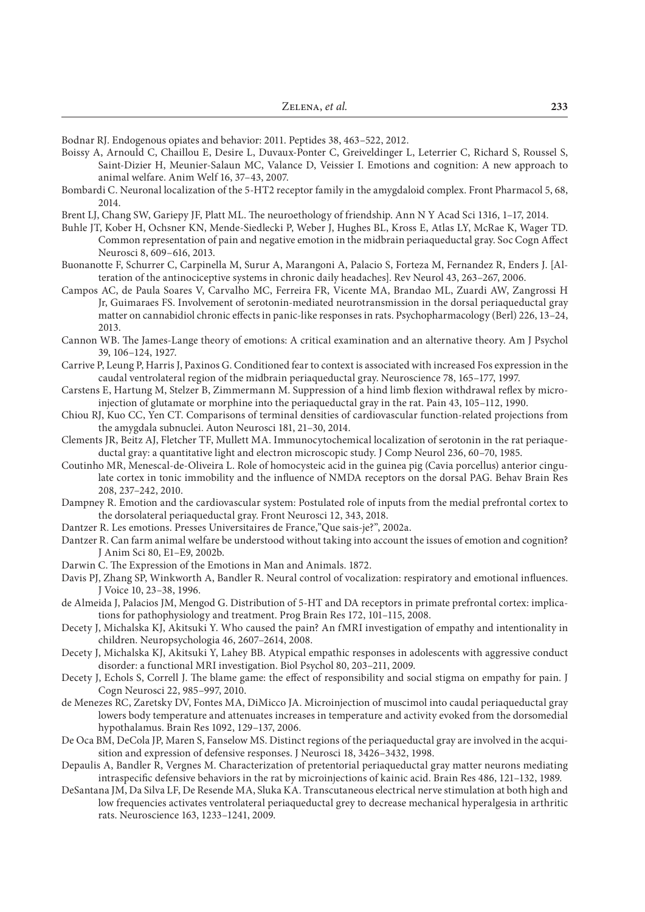Bodnar RJ. Endogenous opiates and behavior: 2011. Peptides 38, 463–522, 2012.

- Boissy A, Arnould C, Chaillou E, Desire L, Duvaux-Ponter C, Greiveldinger L, Leterrier C, Richard S, Roussel S, Saint-Dizier H, Meunier-Salaun MC, Valance D, Veissier I. Emotions and cognition: A new approach to animal welfare. Anim Welf 16, 37–43, 2007.
- Bombardi C. Neuronal localization of the 5-HT2 receptor family in the amygdaloid complex. Front Pharmacol 5, 68, 2014.
- Brent LJ, Chang SW, Gariepy JF, Platt ML. The neuroethology of friendship. Ann N Y Acad Sci 1316, 1–17, 2014.
- Buhle JT, Kober H, Ochsner KN, Mende-Siedlecki P, Weber J, Hughes BL, Kross E, Atlas LY, McRae K, Wager TD. Common representation of pain and negative emotion in the midbrain periaqueductal gray. Soc Cogn Affect Neurosci 8, 609–616, 2013.
- Buonanotte F, Schurrer C, Carpinella M, Surur A, Marangoni A, Palacio S, Forteza M, Fernandez R, Enders J. [Alteration of the antinociceptive systems in chronic daily headaches]. Rev Neurol 43, 263–267, 2006.
- Campos AC, de Paula Soares V, Carvalho MC, Ferreira FR, Vicente MA, Brandao ML, Zuardi AW, Zangrossi H Jr, Guimaraes FS. Involvement of serotonin-mediated neurotransmission in the dorsal periaqueductal gray matter on cannabidiol chronic effects in panic-like responses in rats. Psychopharmacology (Berl) 226, 13–24, 2013.
- Cannon WB. The James-Lange theory of emotions: A critical examination and an alternative theory. Am J Psychol 39, 106–124, 1927.
- Carrive P, Leung P, Harris J, Paxinos G. Conditioned fear to context is associated with increased Fos expression in the caudal ventrolateral region of the midbrain periaqueductal gray. Neuroscience 78, 165–177, 1997.
- Carstens E, Hartung M, Stelzer B, Zimmermann M. Suppression of a hind limb flexion withdrawal reflex by microinjection of glutamate or morphine into the periaqueductal gray in the rat. Pain 43, 105–112, 1990.
- Chiou RJ, Kuo CC, Yen CT. Comparisons of terminal densities of cardiovascular function-related projections from the amygdala subnuclei. Auton Neurosci 181, 21–30, 2014.
- Clements JR, Beitz AJ, Fletcher TF, Mullett MA. Immunocytochemical localization of serotonin in the rat periaqueductal gray: a quantitative light and electron microscopic study. J Comp Neurol 236, 60–70, 1985.
- Coutinho MR, Menescal-de-Oliveira L. Role of homocysteic acid in the guinea pig (Cavia porcellus) anterior cingulate cortex in tonic immobility and the influence of NMDA receptors on the dorsal PAG. Behav Brain Res 208, 237–242, 2010.
- Dampney R. Emotion and the cardiovascular system: Postulated role of inputs from the medial prefrontal cortex to the dorsolateral periaqueductal gray. Front Neurosci 12, 343, 2018.
- Dantzer R. Les emotions. Presses Universitaires de France,"Que sais-je?", 2002a.
- Dantzer R. Can farm animal welfare be understood without taking into account the issues of emotion and cognition? J Anim Sci 80, E1–E9, 2002b.
- Darwin C. The Expression of the Emotions in Man and Animals. 1872.
- Davis PJ, Zhang SP, Winkworth A, Bandler R. Neural control of vocalization: respiratory and emotional influences. J Voice 10, 23–38, 1996.
- de Almeida J, Palacios JM, Mengod G. Distribution of 5-HT and DA receptors in primate prefrontal cortex: implications for pathophysiology and treatment. Prog Brain Res 172, 101–115, 2008.
- Decety J, Michalska KJ, Akitsuki Y. Who caused the pain? An fMRI investigation of empathy and intentionality in children. Neuropsychologia 46, 2607–2614, 2008.
- Decety J, Michalska KJ, Akitsuki Y, Lahey BB. Atypical empathic responses in adolescents with aggressive conduct disorder: a functional MRI investigation. Biol Psychol 80, 203–211, 2009.
- Decety J, Echols S, Correll J. The blame game: the effect of responsibility and social stigma on empathy for pain. J Cogn Neurosci 22, 985–997, 2010.
- de Menezes RC, Zaretsky DV, Fontes MA, DiMicco JA. Microinjection of muscimol into caudal periaqueductal gray lowers body temperature and attenuates increases in temperature and activity evoked from the dorsomedial hypothalamus. Brain Res 1092, 129–137, 2006.
- De Oca BM, DeCola JP, Maren S, Fanselow MS. Distinct regions of the periaqueductal gray are involved in the acquisition and expression of defensive responses. J Neurosci 18, 3426–3432, 1998.
- Depaulis A, Bandler R, Vergnes M. Characterization of pretentorial periaqueductal gray matter neurons mediating intraspecific defensive behaviors in the rat by microinjections of kainic acid. Brain Res 486, 121–132, 1989.
- DeSantana JM, Da Silva LF, De Resende MA, Sluka KA. Transcutaneous electrical nerve stimulation at both high and low frequencies activates ventrolateral periaqueductal grey to decrease mechanical hyperalgesia in arthritic rats. Neuroscience 163, 1233–1241, 2009.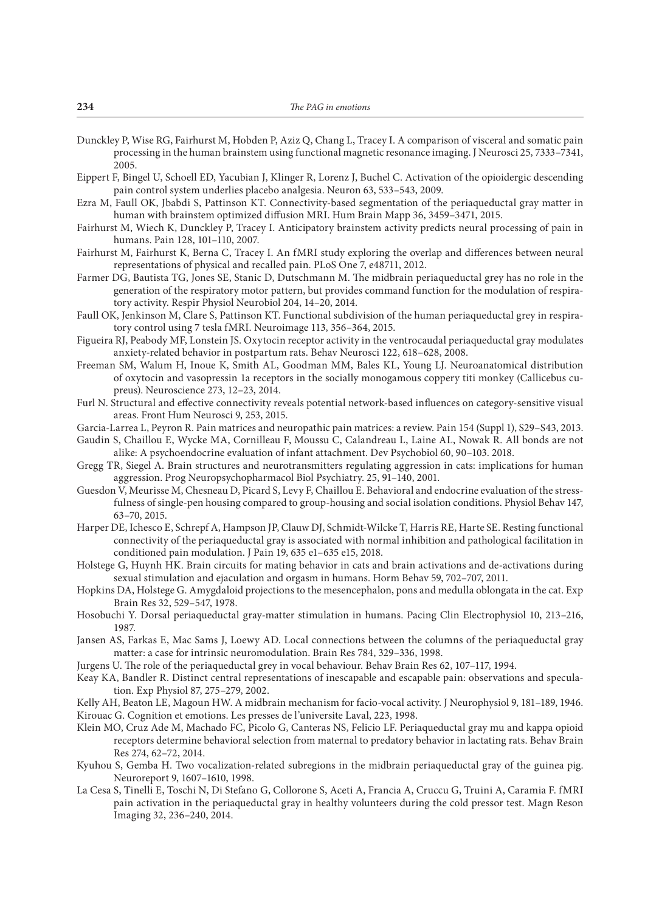- Dunckley P, Wise RG, Fairhurst M, Hobden P, Aziz Q, Chang L, Tracey I. A comparison of visceral and somatic pain processing in the human brainstem using functional magnetic resonance imaging. J Neurosci 25, 7333–7341, 2005.
- Eippert F, Bingel U, Schoell ED, Yacubian J, Klinger R, Lorenz J, Buchel C. Activation of the opioidergic descending pain control system underlies placebo analgesia. Neuron 63, 533–543, 2009.
- Ezra M, Faull OK, Jbabdi S, Pattinson KT. Connectivity-based segmentation of the periaqueductal gray matter in human with brainstem optimized diffusion MRI. Hum Brain Mapp 36, 3459–3471, 2015.
- Fairhurst M, Wiech K, Dunckley P, Tracey I. Anticipatory brainstem activity predicts neural processing of pain in humans. Pain 128, 101–110, 2007.
- Fairhurst M, Fairhurst K, Berna C, Tracey I. An fMRI study exploring the overlap and differences between neural representations of physical and recalled pain. PLoS One 7, e48711, 2012.
- Farmer DG, Bautista TG, Jones SE, Stanic D, Dutschmann M. The midbrain periaqueductal grey has no role in the generation of the respiratory motor pattern, but provides command function for the modulation of respiratory activity. Respir Physiol Neurobiol 204, 14–20, 2014.
- Faull OK, Jenkinson M, Clare S, Pattinson KT. Functional subdivision of the human periaqueductal grey in respiratory control using 7 tesla fMRI. Neuroimage 113, 356–364, 2015.
- Figueira RJ, Peabody MF, Lonstein JS. Oxytocin receptor activity in the ventrocaudal periaqueductal gray modulates anxiety-related behavior in postpartum rats. Behav Neurosci 122, 618–628, 2008.
- Freeman SM, Walum H, Inoue K, Smith AL, Goodman MM, Bales KL, Young LJ. Neuroanatomical distribution of oxytocin and vasopressin 1a receptors in the socially monogamous coppery titi monkey (Callicebus cupreus). Neuroscience 273, 12–23, 2014.
- Furl N. Structural and effective connectivity reveals potential network-based influences on category-sensitive visual areas. Front Hum Neurosci 9, 253, 2015.
- Garcia-Larrea L, Peyron R. Pain matrices and neuropathic pain matrices: a review. Pain 154 (Suppl 1), S29–S43, 2013.
- Gaudin S, Chaillou E, Wycke MA, Cornilleau F, Moussu C, Calandreau L, Laine AL, Nowak R. All bonds are not alike: A psychoendocrine evaluation of infant attachment. Dev Psychobiol 60, 90–103. 2018.
- Gregg TR, Siegel A. Brain structures and neurotransmitters regulating aggression in cats: implications for human aggression. Prog Neuropsychopharmacol Biol Psychiatry. 25, 91–140, 2001.
- Guesdon V, Meurisse M, Chesneau D, Picard S, Levy F, Chaillou E. Behavioral and endocrine evaluation of the stressfulness of single-pen housing compared to group-housing and social isolation conditions. Physiol Behav 147, 63–70, 2015.
- Harper DE, Ichesco E, Schrepf A, Hampson JP, Clauw DJ, Schmidt-Wilcke T, Harris RE, Harte SE. Resting functional connectivity of the periaqueductal gray is associated with normal inhibition and pathological facilitation in conditioned pain modulation. J Pain 19, 635 e1-635 e15, 2018.
- Holstege G, Huynh HK. Brain circuits for mating behavior in cats and brain activations and de-activations during sexual stimulation and ejaculation and orgasm in humans. Horm Behav 59, 702–707, 2011.
- Hopkins DA, Holstege G. Amygdaloid projections to the mesencephalon, pons and medulla oblongata in the cat. Exp Brain Res 32, 529–547, 1978.
- Hosobuchi Y. Dorsal periaqueductal gray-matter stimulation in humans. Pacing Clin Electrophysiol 10, 213–216, 1987.
- Jansen AS, Farkas E, Mac Sams J, Loewy AD. Local connections between the columns of the periaqueductal gray matter: a case for intrinsic neuromodulation. Brain Res 784, 329–336, 1998.
- Jurgens U. The role of the periaqueductal grey in vocal behaviour. Behav Brain Res 62, 107–117, 1994.
- Keay KA, Bandler R. Distinct central representations of inescapable and escapable pain: observations and speculation. Exp Physiol 87, 275–279, 2002.
- Kelly AH, Beaton LE, Magoun HW. A midbrain mechanism for facio-vocal activity. J Neurophysiol 9, 181–189, 1946. Kirouac G. Cognition et emotions. Les presses de l'universite Laval, 223, 1998.
- Klein MO, Cruz Ade M, Machado FC, Picolo G, Canteras NS, Felicio LF. Periaqueductal gray mu and kappa opioid receptors determine behavioral selection from maternal to predatory behavior in lactating rats. Behav Brain Res 274, 62–72, 2014.
- Kyuhou S, Gemba H. Two vocalization-related subregions in the midbrain periaqueductal gray of the guinea pig. Neuroreport 9, 1607–1610, 1998.
- La Cesa S, Tinelli E, Toschi N, Di Stefano G, Collorone S, Aceti A, Francia A, Cruccu G, Truini A, Caramia F. fMRI pain activation in the periaqueductal gray in healthy volunteers during the cold pressor test. Magn Reson Imaging 32, 236–240, 2014.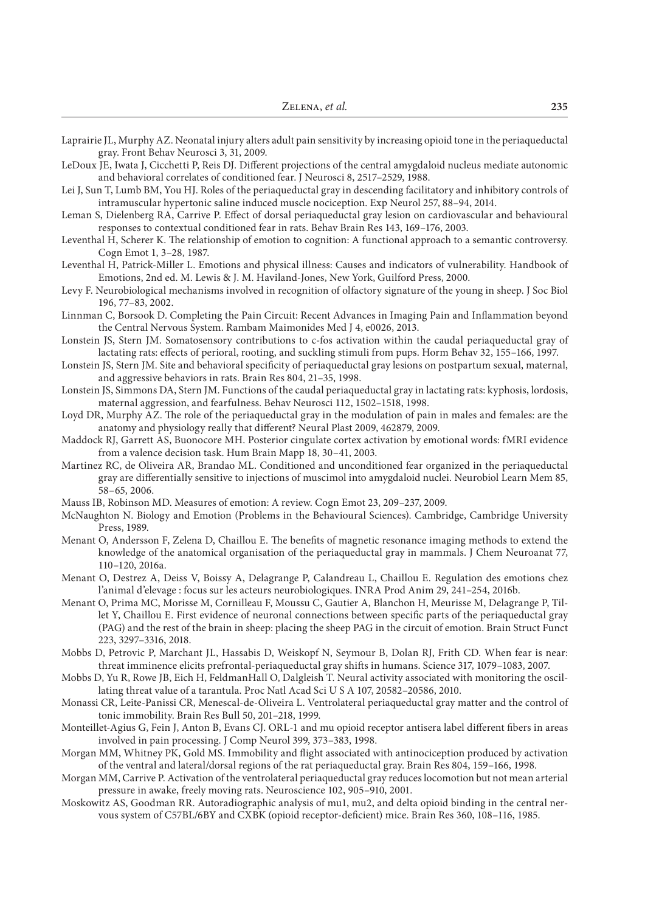Laprairie JL, Murphy AZ. Neonatal injury alters adult pain sensitivity by increasing opioid tone in the periaqueductal gray. Front Behav Neurosci 3, 31, 2009.

LeDoux JE, Iwata J, Cicchetti P, Reis DJ. Different projections of the central amygdaloid nucleus mediate autonomic and behavioral correlates of conditioned fear. J Neurosci 8, 2517–2529, 1988.

Lei J, Sun T, Lumb BM, You HJ. Roles of the periaqueductal gray in descending facilitatory and inhibitory controls of intramuscular hypertonic saline induced muscle nociception. Exp Neurol 257, 88–94, 2014.

- Leman S, Dielenberg RA, Carrive P. Effect of dorsal periaqueductal gray lesion on cardiovascular and behavioural responses to contextual conditioned fear in rats. Behav Brain Res 143, 169–176, 2003.
- Leventhal H, Scherer K. The relationship of emotion to cognition: A functional approach to a semantic controversy. Cogn Emot 1, 3–28, 1987.
- Leventhal H, Patrick-Miller L. Emotions and physical illness: Causes and indicators of vulnerability. Handbook of Emotions, 2nd ed. M. Lewis & J. M. Haviland-Jones, New York, Guilford Press, 2000.
- Levy F. Neurobiological mechanisms involved in recognition of olfactory signature of the young in sheep. J Soc Biol 196, 77–83, 2002.

Linnman C, Borsook D. Completing the Pain Circuit: Recent Advances in Imaging Pain and Inflammation beyond the Central Nervous System. Rambam Maimonides Med J 4, e0026, 2013.

- Lonstein JS, Stern JM. Somatosensory contributions to c-fos activation within the caudal periaqueductal gray of lactating rats: effects of perioral, rooting, and suckling stimuli from pups. Horm Behav 32, 155–166, 1997.
- Lonstein JS, Stern JM. Site and behavioral specificity of periaqueductal gray lesions on postpartum sexual, maternal, and aggressive behaviors in rats. Brain Res 804, 21–35, 1998.
- Lonstein JS, Simmons DA, Stern JM. Functions of the caudal periaqueductal gray in lactating rats: kyphosis, lordosis, maternal aggression, and fearfulness. Behav Neurosci 112, 1502–1518, 1998.
- Loyd DR, Murphy AZ. The role of the periaqueductal gray in the modulation of pain in males and females: are the anatomy and physiology really that different? Neural Plast 2009, 462879, 2009.
- Maddock RJ, Garrett AS, Buonocore MH. Posterior cingulate cortex activation by emotional words: fMRI evidence from a valence decision task. Hum Brain Mapp 18, 30–41, 2003.
- Martinez RC, de Oliveira AR, Brandao ML. Conditioned and unconditioned fear organized in the periaqueductal gray are differentially sensitive to injections of muscimol into amygdaloid nuclei. Neurobiol Learn Mem 85, 58–65, 2006.
- Mauss IB, Robinson MD. Measures of emotion: A review. Cogn Emot 23, 209–237, 2009.
- McNaughton N. Biology and Emotion (Problems in the Behavioural Sciences). Cambridge, Cambridge University Press, 1989.
- Menant O, Andersson F, Zelena D, Chaillou E. The benefits of magnetic resonance imaging methods to extend the knowledge of the anatomical organisation of the periaqueductal gray in mammals. J Chem Neuroanat 77, 110–120, 2016a.
- Menant O, Destrez A, Deiss V, Boissy A, Delagrange P, Calandreau L, Chaillou E. Regulation des emotions chez l'animal d'elevage : focus sur les acteurs neurobiologiques. INRA Prod Anim 29, 241–254, 2016b.
- Menant O, Prima MC, Morisse M, Cornilleau F, Moussu C, Gautier A, Blanchon H, Meurisse M, Delagrange P, Tillet Y, Chaillou E. First evidence of neuronal connections between specific parts of the periaqueductal gray (PAG) and the rest of the brain in sheep: placing the sheep PAG in the circuit of emotion. Brain Struct Funct 223, 3297–3316, 2018.
- Mobbs D, Petrovic P, Marchant JL, Hassabis D, Weiskopf N, Seymour B, Dolan RJ, Frith CD. When fear is near: threat imminence elicits prefrontal-periaqueductal gray shifts in humans. Science 317, 1079–1083, 2007.
- Mobbs D, Yu R, Rowe JB, Eich H, FeldmanHall O, Dalgleish T. Neural activity associated with monitoring the oscillating threat value of a tarantula. Proc Natl Acad Sci U S A 107, 20582–20586, 2010.
- Monassi CR, Leite-Panissi CR, Menescal-de-Oliveira L. Ventrolateral periaqueductal gray matter and the control of tonic immobility. Brain Res Bull 50, 201–218, 1999.
- Monteillet-Agius G, Fein J, Anton B, Evans CJ. ORL-1 and mu opioid receptor antisera label different fibers in areas involved in pain processing. J Comp Neurol 399, 373–383, 1998.
- Morgan MM, Whitney PK, Gold MS. Immobility and flight associated with antinociception produced by activation of the ventral and lateral/dorsal regions of the rat periaqueductal gray. Brain Res 804, 159–166, 1998.
- Morgan MM, Carrive P. Activation of the ventrolateral periaqueductal gray reduces locomotion but not mean arterial pressure in awake, freely moving rats. Neuroscience 102, 905–910, 2001.
- Moskowitz AS, Goodman RR. Autoradiographic analysis of mu1, mu2, and delta opioid binding in the central nervous system of C57BL/6BY and CXBK (opioid receptor-deficient) mice. Brain Res 360, 108–116, 1985.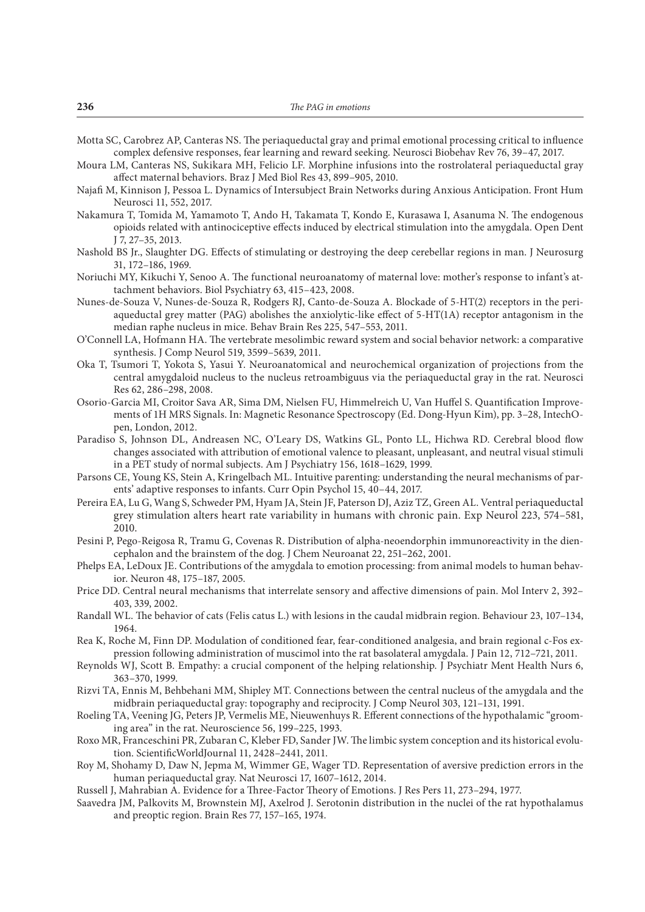Motta SC, Carobrez AP, Canteras NS. The periaqueductal gray and primal emotional processing critical to influence complex defensive responses, fear learning and reward seeking. Neurosci Biobehav Rev 76, 39–47, 2017.

Moura LM, Canteras NS, Sukikara MH, Felicio LF. Morphine infusions into the rostrolateral periaqueductal gray affect maternal behaviors. Braz J Med Biol Res 43, 899–905, 2010.

- Najafi M, Kinnison J, Pessoa L. Dynamics of Intersubject Brain Networks during Anxious Anticipation. Front Hum Neurosci 11, 552, 2017.
- Nakamura T, Tomida M, Yamamoto T, Ando H, Takamata T, Kondo E, Kurasawa I, Asanuma N. The endogenous opioids related with antinociceptive effects induced by electrical stimulation into the amygdala. Open Dent J 7, 27–35, 2013.
- Nashold BS Jr., Slaughter DG. Effects of stimulating or destroying the deep cerebellar regions in man. J Neurosurg 31, 172–186, 1969.
- Noriuchi MY, Kikuchi Y, Senoo A. The functional neuroanatomy of maternal love: mother's response to infant's attachment behaviors. Biol Psychiatry 63, 415–423, 2008.
- Nunes-de-Souza V, Nunes-de-Souza R, Rodgers RJ, Canto-de-Souza A. Blockade of 5-HT(2) receptors in the periaqueductal grey matter (PAG) abolishes the anxiolytic-like effect of 5-HT(1A) receptor antagonism in the median raphe nucleus in mice. Behav Brain Res 225, 547–553, 2011.
- O'Connell LA, Hofmann HA. The vertebrate mesolimbic reward system and social behavior network: a comparative synthesis. J Comp Neurol 519, 3599–5639, 2011.
- Oka T, Tsumori T, Yokota S, Yasui Y. Neuroanatomical and neurochemical organization of projections from the central amygdaloid nucleus to the nucleus retroambiguus via the periaqueductal gray in the rat. Neurosci Res 62, 286–298, 2008.
- Osorio-Garcia MI, Croitor Sava AR, Sima DM, Nielsen FU, Himmelreich U, Van Huffel S. Quantification Improvements of 1H MRS Signals. In: Magnetic Resonance Spectroscopy (Ed. Dong-Hyun Kim), pp. 3–28, IntechOpen, London, 2012.
- Paradiso S, Johnson DL, Andreasen NC, O'Leary DS, Watkins GL, Ponto LL, Hichwa RD. Cerebral blood flow changes associated with attribution of emotional valence to pleasant, unpleasant, and neutral visual stimuli in a PET study of normal subjects. Am J Psychiatry 156, 1618–1629, 1999.
- Parsons CE, Young KS, Stein A, Kringelbach ML. Intuitive parenting: understanding the neural mechanisms of parents' adaptive responses to infants. Curr Opin Psychol 15, 40–44, 2017.
- Pereira EA, Lu G, Wang S, Schweder PM, Hyam JA, Stein JF, Paterson DJ, Aziz TZ, Green AL. Ventral periaqueductal grey stimulation alters heart rate variability in humans with chronic pain. Exp Neurol 223, 574–581, 2010.
- Pesini P, Pego-Reigosa R, Tramu G, Covenas R. Distribution of alpha-neoendorphin immunoreactivity in the diencephalon and the brainstem of the dog. J Chem Neuroanat 22, 251–262, 2001.
- Phelps EA, LeDoux JE. Contributions of the amygdala to emotion processing: from animal models to human behavior. Neuron 48, 175–187, 2005.
- Price DD. Central neural mechanisms that interrelate sensory and affective dimensions of pain. Mol Interv 2, 392– 403, 339, 2002.
- Randall WL. The behavior of cats (Felis catus L.) with lesions in the caudal midbrain region. Behaviour 23, 107–134, 1964.
- Rea K, Roche M, Finn DP. Modulation of conditioned fear, fear-conditioned analgesia, and brain regional c-Fos expression following administration of muscimol into the rat basolateral amygdala. J Pain 12, 712–721, 2011.
- Reynolds WJ, Scott B. Empathy: a crucial component of the helping relationship. J Psychiatr Ment Health Nurs 6, 363–370, 1999.
- Rizvi TA, Ennis M, Behbehani MM, Shipley MT. Connections between the central nucleus of the amygdala and the midbrain periaqueductal gray: topography and reciprocity. J Comp Neurol 303, 121–131, 1991.
- Roeling TA, Veening JG, Peters JP, Vermelis ME, Nieuwenhuys R. Efferent connections of the hypothalamic "grooming area" in the rat. Neuroscience 56, 199–225, 1993.
- Roxo MR, Franceschini PR, Zubaran C, Kleber FD, Sander JW. The limbic system conception and its historical evolution. ScientificWorldJournal 11, 2428–2441, 2011.
- Roy M, Shohamy D, Daw N, Jepma M, Wimmer GE, Wager TD. Representation of aversive prediction errors in the human periaqueductal gray. Nat Neurosci 17, 1607–1612, 2014.
- Russell J, Mahrabian A. Evidence for a Three-Factor Theory of Emotions. J Res Pers 11, 273–294, 1977.
- Saavedra JM, Palkovits M, Brownstein MJ, Axelrod J. Serotonin distribution in the nuclei of the rat hypothalamus and preoptic region. Brain Res 77, 157–165, 1974.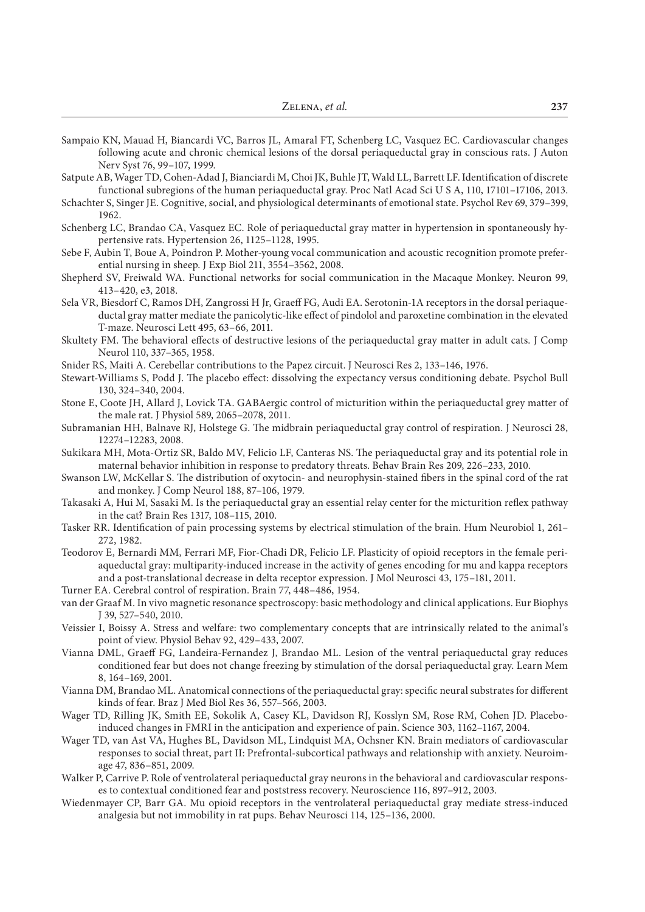- Sampaio KN, Mauad H, Biancardi VC, Barros JL, Amaral FT, Schenberg LC, Vasquez EC. Cardiovascular changes following acute and chronic chemical lesions of the dorsal periaqueductal gray in conscious rats. J Auton Nerv Syst 76, 99–107, 1999.
- Satpute AB, Wager TD, Cohen-Adad J, Bianciardi M, Choi JK, Buhle JT, Wald LL, Barrett LF. Identification of discrete functional subregions of the human periaqueductal gray. Proc Natl Acad Sci U S A, 110, 17101–17106, 2013.
- Schachter S, Singer JE. Cognitive, social, and physiological determinants of emotional state. Psychol Rev 69, 379–399, 1962.
- Schenberg LC, Brandao CA, Vasquez EC. Role of periaqueductal gray matter in hypertension in spontaneously hypertensive rats. Hypertension 26, 1125–1128, 1995.
- Sebe F, Aubin T, Boue A, Poindron P. Mother-young vocal communication and acoustic recognition promote preferential nursing in sheep. J Exp Biol 211, 3554–3562, 2008.
- Shepherd SV, Freiwald WA. Functional networks for social communication in the Macaque Monkey. Neuron 99, 413–420, e3, 2018.
- Sela VR, Biesdorf C, Ramos DH, Zangrossi H Jr, Graeff FG, Audi EA. Serotonin-1A receptors in the dorsal periaqueductal gray matter mediate the panicolytic-like effect of pindolol and paroxetine combination in the elevated T-maze. Neurosci Lett 495, 63–66, 2011.
- Skultety FM. The behavioral effects of destructive lesions of the periaqueductal gray matter in adult cats. J Comp Neurol 110, 337–365, 1958.
- Snider RS, Maiti A. Cerebellar contributions to the Papez circuit. J Neurosci Res 2, 133–146, 1976.
- Stewart-Williams S, Podd J. The placebo effect: dissolving the expectancy versus conditioning debate. Psychol Bull 130, 324–340, 2004.
- Stone E, Coote JH, Allard J, Lovick TA. GABAergic control of micturition within the periaqueductal grey matter of the male rat. J Physiol 589, 2065–2078, 2011.
- Subramanian HH, Balnave RJ, Holstege G. The midbrain periaqueductal gray control of respiration. J Neurosci 28, 12274–12283, 2008.
- Sukikara MH, Mota-Ortiz SR, Baldo MV, Felicio LF, Canteras NS. The periaqueductal gray and its potential role in maternal behavior inhibition in response to predatory threats. Behav Brain Res 209, 226–233, 2010.
- Swanson LW, McKellar S. The distribution of oxytocin- and neurophysin-stained fibers in the spinal cord of the rat and monkey. J Comp Neurol 188, 87–106, 1979.
- Takasaki A, Hui M, Sasaki M. Is the periaqueductal gray an essential relay center for the micturition reflex pathway in the cat? Brain Res 1317, 108–115, 2010.
- Tasker RR. Identification of pain processing systems by electrical stimulation of the brain. Hum Neurobiol 1, 261– 272, 1982.
- Teodorov E, Bernardi MM, Ferrari MF, Fior-Chadi DR, Felicio LF. Plasticity of opioid receptors in the female periaqueductal gray: multiparity-induced increase in the activity of genes encoding for mu and kappa receptors and a post-translational decrease in delta receptor expression. J Mol Neurosci 43, 175–181, 2011.
- Turner EA. Cerebral control of respiration. Brain 77, 448–486, 1954.
- van der Graaf M. In vivo magnetic resonance spectroscopy: basic methodology and clinical applications. Eur Biophys J 39, 527–540, 2010.
- Veissier I, Boissy A. Stress and welfare: two complementary concepts that are intrinsically related to the animal's point of view. Physiol Behav 92, 429–433, 2007.
- Vianna DML, Graeff FG, Landeira-Fernandez J, Brandao ML. Lesion of the ventral periaqueductal gray reduces conditioned fear but does not change freezing by stimulation of the dorsal periaqueductal gray. Learn Mem 8, 164–169, 2001.
- Vianna DM, Brandao ML. Anatomical connections of the periaqueductal gray: specific neural substrates for different kinds of fear. Braz J Med Biol Res 36, 557–566, 2003.
- Wager TD, Rilling JK, Smith EE, Sokolik A, Casey KL, Davidson RJ, Kosslyn SM, Rose RM, Cohen JD. Placeboinduced changes in FMRI in the anticipation and experience of pain. Science 303, 1162–1167, 2004.
- Wager TD, van Ast VA, Hughes BL, Davidson ML, Lindquist MA, Ochsner KN. Brain mediators of cardiovascular responses to social threat, part II: Prefrontal-subcortical pathways and relationship with anxiety. Neuroimage 47, 836–851, 2009.
- Walker P, Carrive P. Role of ventrolateral periaqueductal gray neurons in the behavioral and cardiovascular responses to contextual conditioned fear and poststress recovery. Neuroscience 116, 897–912, 2003.
- Wiedenmayer CP, Barr GA. Mu opioid receptors in the ventrolateral periaqueductal gray mediate stress-induced analgesia but not immobility in rat pups. Behav Neurosci 114, 125–136, 2000.